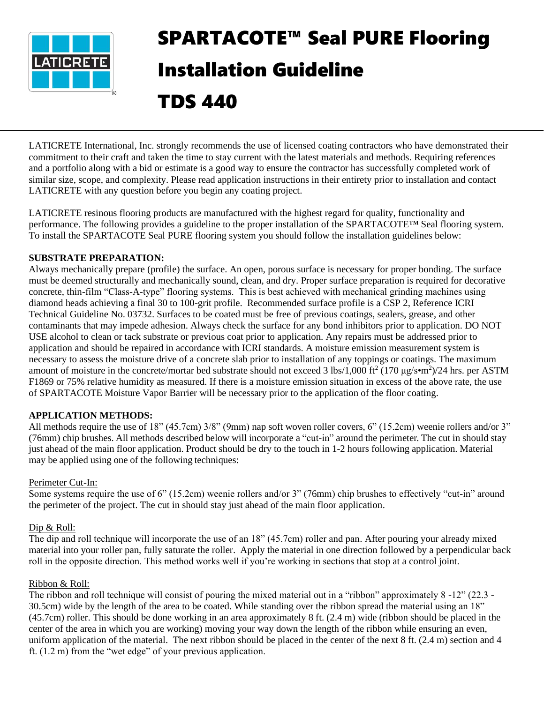

# SPARTACOTE™ Seal PURE Flooring Installation Guideline

TDS 440

LATICRETE International, Inc. strongly recommends the use of licensed coating contractors who have demonstrated their commitment to their craft and taken the time to stay current with the latest materials and methods. Requiring references and a portfolio along with a bid or estimate is a good way to ensure the contractor has successfully completed work of similar size, scope, and complexity. Please read application instructions in their entirety prior to installation and contact LATICRETE with any question before you begin any coating project.

LATICRETE resinous flooring products are manufactured with the highest regard for quality, functionality and performance. The following provides a guideline to the proper installation of the SPARTACOTE™ Seal flooring system. To install the SPARTACOTE Seal PURE flooring system you should follow the installation guidelines below:

## **SUBSTRATE PREPARATION:**

Always mechanically prepare (profile) the surface. An open, porous surface is necessary for proper bonding. The surface must be deemed structurally and mechanically sound, clean, and dry. Proper surface preparation is required for decorative concrete, thin-film "Class-A-type" flooring systems. This is best achieved with mechanical grinding machines using diamond heads achieving a final 30 to 100-grit profile. Recommended surface profile is a CSP 2, Reference ICRI Technical Guideline No. 03732. Surfaces to be coated must be free of previous coatings, sealers, grease, and other contaminants that may impede adhesion. Always check the surface for any bond inhibitors prior to application. DO NOT USE alcohol to clean or tack substrate or previous coat prior to application. Any repairs must be addressed prior to application and should be repaired in accordance with ICRI standards. A moisture emission measurement system is necessary to assess the moisture drive of a concrete slab prior to installation of any toppings or coatings. The maximum amount of moisture in the concrete/mortar bed substrate should not exceed 3 lbs/1,000 ft<sup>2</sup> (170  $\mu$ g/s•m<sup>2</sup>)/24 hrs. per ASTM F1869 or 75% relative humidity as measured. If there is a moisture emission situation in excess of the above rate, the use of SPARTACOTE Moisture Vapor Barrier will be necessary prior to the application of the floor coating.

# **APPLICATION METHODS:**

All methods require the use of 18" (45.7cm) 3/8" (9mm) nap soft woven roller covers, 6" (15.2cm) weenie rollers and/or 3" (76mm) chip brushes. All methods described below will incorporate a "cut-in" around the perimeter. The cut in should stay just ahead of the main floor application. Product should be dry to the touch in 1-2 hours following application. Material may be applied using one of the following techniques:

## Perimeter Cut-In:

Some systems require the use of 6" (15.2cm) weenie rollers and/or 3" (76mm) chip brushes to effectively "cut-in" around the perimeter of the project. The cut in should stay just ahead of the main floor application.

# Dip & Roll:

The dip and roll technique will incorporate the use of an 18" (45.7cm) roller and pan. After pouring your already mixed material into your roller pan, fully saturate the roller. Apply the material in one direction followed by a perpendicular back roll in the opposite direction. This method works well if you're working in sections that stop at a control joint.

## Ribbon & Roll:

The ribbon and roll technique will consist of pouring the mixed material out in a "ribbon" approximately 8 -12" (22.3 - 30.5cm) wide by the length of the area to be coated. While standing over the ribbon spread the material using an 18" (45.7cm) roller. This should be done working in an area approximately 8 ft. (2.4 m) wide (ribbon should be placed in the center of the area in which you are working) moving your way down the length of the ribbon while ensuring an even, uniform application of the material. The next ribbon should be placed in the center of the next 8 ft. (2.4 m) section and 4 ft. (1.2 m) from the "wet edge" of your previous application.